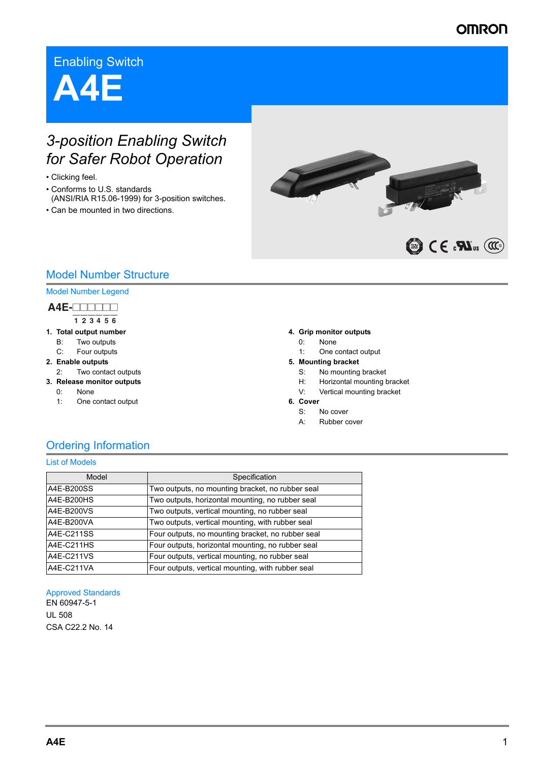# Enabling Switch **A4E**

# *3-position Enabling Switch for Safer Robot Operation*

- Clicking feel.
- Conforms to U.S. standards (ANSI/RIA R15.06-1999) for 3-position switches.
- Can be mounted in two directions.



## Model Number Structure

## Model Number Legend

**1 2 3 4 5 6 A4E-** $\Box$ 

- **1. Total output number**
- B: Two outputs
- C: Four outputs **2. Enable outputs**
	- 2: Two contact outputs
- **3. Release monitor outputs**
- 0: None
	- 1: One contact output

## **4. Grip monitor outputs**

- 0: None
- 1: One contact output
- **5. Mounting bracket**
	- S: No mounting bracket
	- H: Horizontal mounting bracket
	- V: Vertical mounting bracket
- **6. Cover**
	- S: No cover
	- A: Rubber cover

## Ordering Information

## List of Models

| Model      | Specification                                     |
|------------|---------------------------------------------------|
| A4E-B200SS | Two outputs, no mounting bracket, no rubber seal  |
| A4E-B200HS | Two outputs, horizontal mounting, no rubber seal  |
| A4E-B200VS | Two outputs, vertical mounting, no rubber seal    |
| A4E-B200VA | Two outputs, vertical mounting, with rubber seal  |
| A4E-C211SS | Four outputs, no mounting bracket, no rubber seal |
| A4E-C211HS | Four outputs, horizontal mounting, no rubber seal |
| A4E-C211VS | Four outputs, vertical mounting, no rubber seal   |
| A4E-C211VA | Four outputs, vertical mounting, with rubber seal |

## Approved Standards

EN 60947-5-1 UL 508 CSA C22.2 No. 14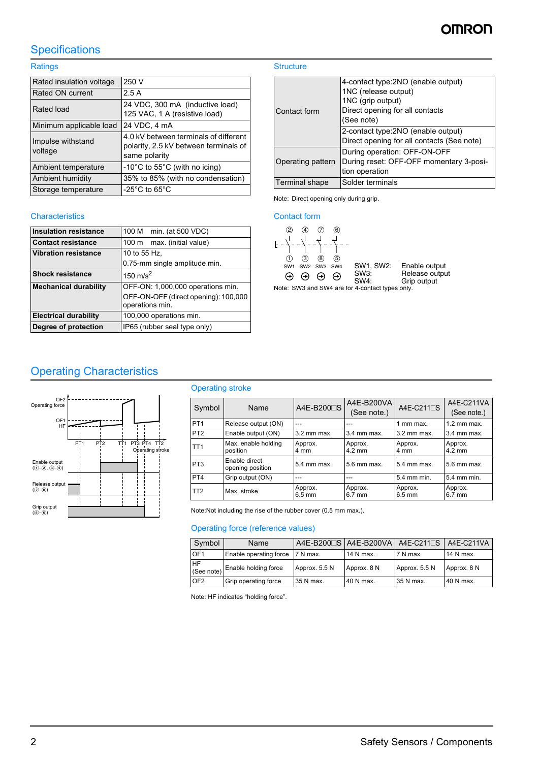## **Specifications**

## Ratings

| Rated insulation voltage     | 250 V                                                                                           |
|------------------------------|-------------------------------------------------------------------------------------------------|
| Rated ON current             | 2.5A                                                                                            |
| Rated load                   | 24 VDC, 300 mA (inductive load)<br>125 VAC, 1 A (resistive load)                                |
| Minimum applicable load      | 24 VDC, 4 mA                                                                                    |
| Impulse withstand<br>voltage | 4.0 kV between terminals of different<br>polarity, 2.5 kV between terminals of<br>same polarity |
| Ambient temperature          | -10 $^{\circ}$ C to 55 $^{\circ}$ C (with no icing)                                             |
| Ambient humidity             | 35% to 85% (with no condensation)                                                               |
| Storage temperature          | -25 $^{\circ}$ C to 65 $^{\circ}$ C                                                             |

## **Characteristics**

| <b>Insulation resistance</b> | 100 M min. (at 500 VDC)                                 |  |  |  |
|------------------------------|---------------------------------------------------------|--|--|--|
| <b>Contact resistance</b>    | 100 m<br>max. (initial value)                           |  |  |  |
| <b>Vibration resistance</b>  | 10 to 55 Hz,                                            |  |  |  |
|                              | 0.75-mm single amplitude min.                           |  |  |  |
| <b>Shock resistance</b>      | 150 m/s <sup>2</sup>                                    |  |  |  |
| <b>Mechanical durability</b> | OFF-ON: 1,000,000 operations min.                       |  |  |  |
|                              | OFF-ON-OFF (direct opening): 100,000<br>operations min. |  |  |  |
| <b>Electrical durability</b> | 100,000 operations min.                                 |  |  |  |
| Degree of protection         | IP65 (rubber seal type only)                            |  |  |  |

## **Structure**

| Contact form      | 4-contact type: 2NO (enable output)<br>1NC (release output)<br>1NC (grip output)<br>Direct opening for all contacts<br>(See note) |
|-------------------|-----------------------------------------------------------------------------------------------------------------------------------|
|                   | 2-contact type:2NO (enable output)<br>Direct opening for all contacts (See note)                                                  |
| Operating pattern | During operation: OFF-ON-OFF<br>During reset: OFF-OFF momentary 3-posi-<br>tion operation                                         |
| Terminal shape    | Solder terminals                                                                                                                  |

Note: Direct opening only during grip.

## Contact form



## Operating Characteristics



## Operating stroke

| Symbol          | Name                              | A4E-B200 <sup>S</sup> | A4E-B200VA<br>(See note.)   | A4E-C211 $\sqcap$ S | A4E-C211VA<br>(See note.)   |
|-----------------|-----------------------------------|-----------------------|-----------------------------|---------------------|-----------------------------|
| PT <sub>1</sub> | Release output (ON)               | ---                   | ---                         | 1 mm max.           | $1.2$ mm max.               |
| PT <sub>2</sub> | Enable output (ON)                | $3.2$ mm max.         | $3.4$ mm max.               | $3.2$ mm max.       | 3.4 mm max.                 |
| TT <sub>1</sub> | Max. enable holding<br>position   | Approx.<br>4 mm       | Approx.<br>$4.2 \text{ mm}$ | Approx.<br>4 mm     | Approx.<br>$4.2 \text{ mm}$ |
| PT <sub>3</sub> | Enable direct<br>opening position | 5.4 mm max.           | 5.6 mm max.                 | 5.4 mm max.         | 5.6 mm max.                 |
| PT <sub>4</sub> | Grip output (ON)                  | ---                   |                             | 5.4 mm min.         | 5.4 mm min.                 |
| TT <sub>2</sub> | Max. stroke                       | Approx.<br>$6.5$ mm   | Approx.<br>$6.7$ mm         | Approx.<br>$6.5$ mm | Approx.<br>$6.7$ mm         |

Note:Not including the rise of the rubber cover (0.5 mm max.).

## Operating force (reference values)

| Symbol           | Name                              |               | A4E-B200□S   A4E-B200VA   A4E-C211□S |               | A4E-C211VA  |
|------------------|-----------------------------------|---------------|--------------------------------------|---------------|-------------|
| OF <sub>1</sub>  | Enable operating force   7 N max. |               | 14 N max.                            | 7 N max.      | 14 N max.   |
| HF<br>(See note) | Enable holding force              | Approx. 5.5 N | Approx. 8 N                          | Approx. 5.5 N | Approx. 8 N |
| OF <sub>2</sub>  | Grip operating force              | 35 N max.     | 40 N max.                            | 35 N max.     | 40 N max.   |

Note: HF indicates "holding force".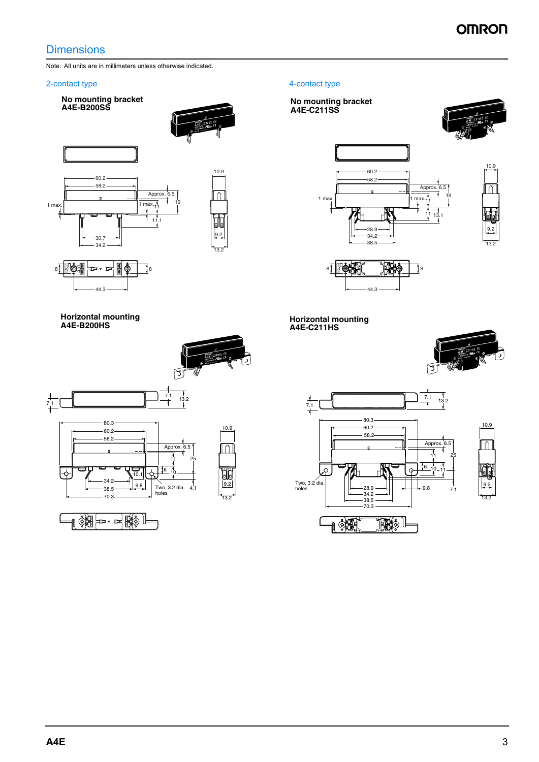## **Dimensions**

Note: All units are in millimeters unless otherwise indicated.

## 2-contact type 4-contact type







# **A4E-B200HS Horizontal mounting A4E-C211HS**











80.3  $-60.2$ 58.2

 $\mathbf{r}$ 

**Horizontal mounting**

 $7.1$ 

 $13.2$ 

7

 $\frac{7.1}{1}$ 

Approx

11 25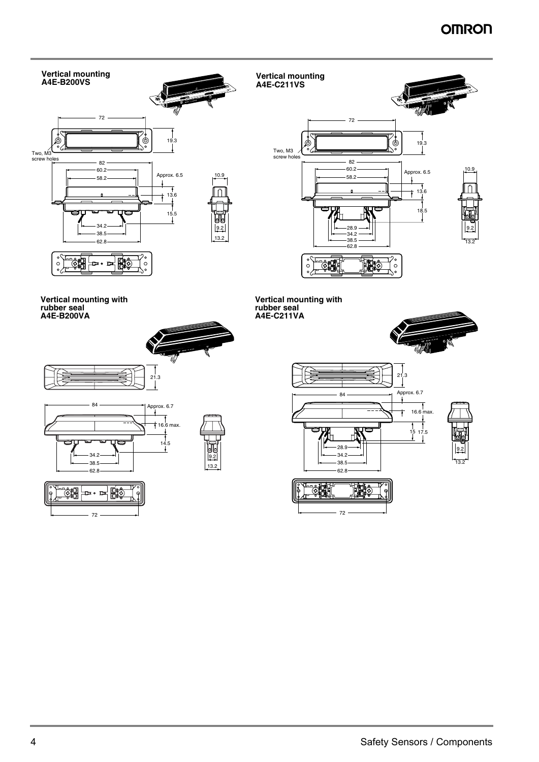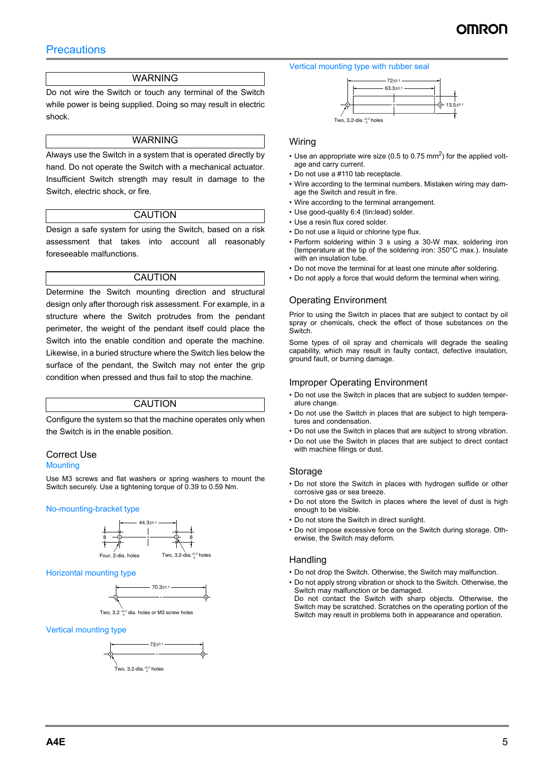## WARNING

Do not wire the Switch or touch any terminal of the Switch while power is being supplied. Doing so may result in electric shock.

## WARNING

Always use the Switch in a system that is operated directly by hand. Do not operate the Switch with a mechanical actuator. Insufficient Switch strength may result in damage to the Switch, electric shock, or fire.

## **CAUTION**

Design a safe system for using the Switch, based on a risk assessment that takes into account all reasonably foreseeable malfunctions.

## **CAUTION**

Determine the Switch mounting direction and structural design only after thorough risk assessment. For example, in a structure where the Switch protrudes from the pendant perimeter, the weight of the pendant itself could place the Switch into the enable condition and operate the machine. Likewise, in a buried structure where the Switch lies below the surface of the pendant, the Switch may not enter the grip condition when pressed and thus fail to stop the machine.

## **CAUTION**

Configure the system so that the machine operates only when the Switch is in the enable position.

## Correct Use

**Mounting** 

Use M3 screws and flat washers or spring washers to mount the Switch securely. Use a tightening torque of 0.39 to 0.59 Nm.

### No-mounting-bracket type



### Horizontal mounting type





## Vertical mounting type



### Vertical mounting type with rubber seal



## Wiring

- Use an appropriate wire size (0.5 to 0.75 mm<sup>2</sup>) for the applied voltage and carry current.
- Do not use a #110 tab receptacle.
- Wire according to the terminal numbers. Mistaken wiring may damage the Switch and result in fire.
- Wire according to the terminal arrangement.
- Use good-quality 6:4 (tin:lead) solder.
- Use a resin flux cored solder.
- Do not use a liquid or chlorine type flux.
- Perform soldering within 3 s using a 30-W max. soldering iron (temperature at the tip of the soldering iron: 350°C max.). Insulate with an insulation tube.
- Do not move the terminal for at least one minute after soldering.
- Do not apply a force that would deform the terminal when wiring.

## Operating Environment

Prior to using the Switch in places that are subject to contact by oil spray or chemicals, check the effect of those substances on the Switch.

Some types of oil spray and chemicals will degrade the sealing capability, which may result in faulty contact, defective insulation, ground fault, or burning damage.

## Improper Operating Environment

- Do not use the Switch in places that are subject to sudden temperature change.
- Do not use the Switch in places that are subject to high temperatures and condensation.
- Do not use the Switch in places that are subject to strong vibration.
- Do not use the Switch in places that are subject to direct contact with machine filings or dust.

## **Storage**

- Do not store the Switch in places with hydrogen sulfide or other corrosive gas or sea breeze.
- Do not store the Switch in places where the level of dust is high enough to be visible.
- Do not store the Switch in direct sunlight.
- Do not impose excessive force on the Switch during storage. Otherwise, the Switch may deform.

## **Handling**

- Do not drop the Switch. Otherwise, the Switch may malfunction.
- Do not apply strong vibration or shock to the Switch. Otherwise, the Switch may malfunction or be damaged.
- Do not contact the Switch with sharp objects. Otherwise, the Switch may be scratched. Scratches on the operating portion of the Switch may result in problems both in appearance and operation.